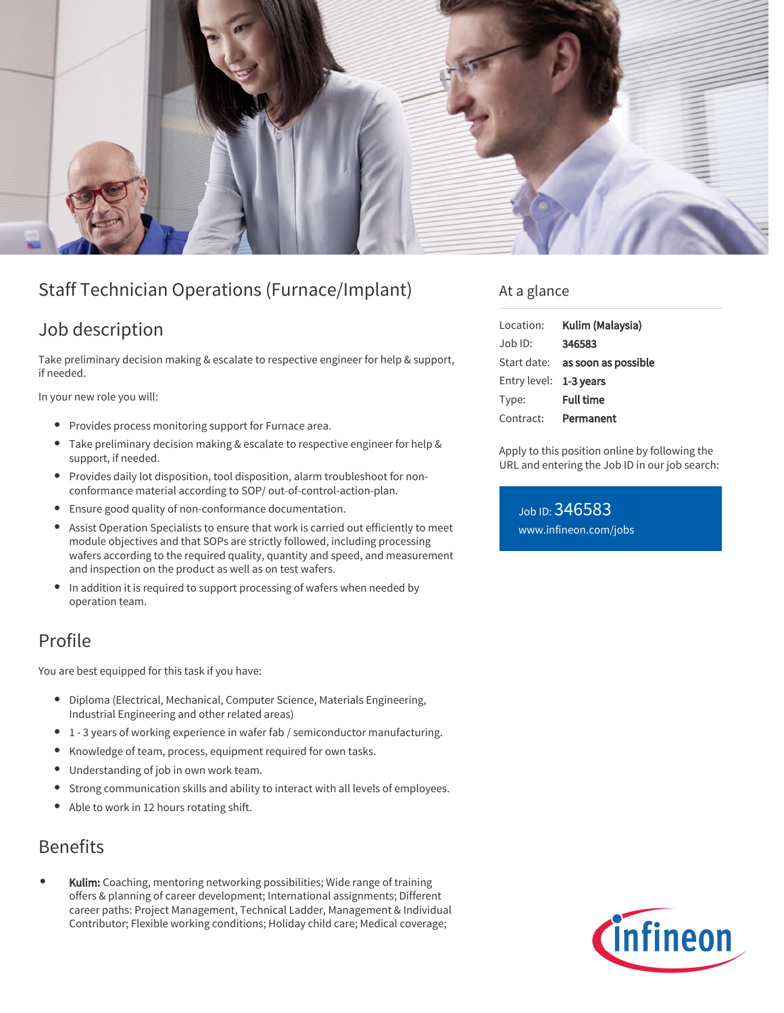

# Staff Technician Operations (Furnace/Implant)

# Job description

Take preliminary decision making & escalate to respective engineer for help & support, if needed.

In your new role you will:

- Provides process monitoring support for Furnace area.
- Take preliminary decision making & escalate to respective engineer for help & support, if needed.
- Provides daily lot disposition, tool disposition, alarm troubleshoot for nonconformance material according to SOP/ out-of-control-action-plan.
- Ensure good quality of non-conformance documentation.
- Assist Operation Specialists to ensure that work is carried out efficiently to meet module objectives and that SOPs are strictly followed, including processing wafers according to the required quality, quantity and speed, and measurement and inspection on the product as well as on test wafers.
- In addition it is required to support processing of wafers when needed by operation team.

# Profile

You are best equipped for this task if you have:

- Diploma (Electrical, Mechanical, Computer Science, Materials Engineering, Industrial Engineering and other related areas)
- 1 3 years of working experience in wafer fab / semiconductor manufacturing.
- Knowledge of team, process, equipment required for own tasks.
- Understanding of job in own work team.
- Strong communication skills and ability to interact with all levels of employees.
- Able to work in 12 hours rotating shift.

### Benefits

Kulim: Coaching, mentoring networking possibilities; Wide range of training offers & planning of career development; International assignments; Different career paths: Project Management, Technical Ladder, Management & Individual Contributor; Flexible working conditions; Holiday child care; Medical coverage;

#### At a glance

| Location:              | Kulim (Malaysia)                       |
|------------------------|----------------------------------------|
| Job ID:                | 346583                                 |
|                        | Start date: <b>as soon as possible</b> |
| Entry level: 1-3 years |                                        |
| Type:                  | <b>Full time</b>                       |
| Contract:              | Permanent                              |

Apply to this position online by following the URL and entering the Job ID in our job search:

Job ID: 346583 [www.infineon.com/jobs](https://www.infineon.com/jobs)